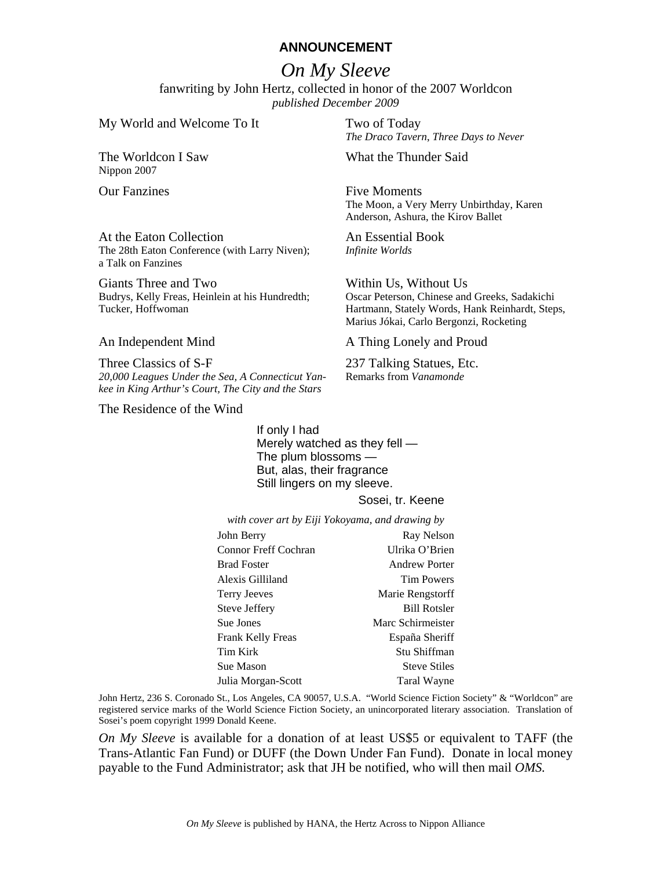# **ANNOUNCEMENT**

# *On My Sleeve*

fanwriting by John Hertz, collected in honor of the 2007 Worldcon *published December 2009*

My World and Welcome To It Two of Today

The Worldcon I Saw Nippon 2007

At the Eaton Collection The 28th Eaton Conference (with Larry Niven); a Talk on Fanzines

Giants Three and Two Budrys, Kelly Freas, Heinlein at his Hundredth; Tucker, Hoffwoman

Three Classics of S-F *20,000 Leagues Under the Sea, A Connecticut Yankee in King Arthur's Court, The City and the Stars*

The Residence of the Wind

*The Draco Tavern*, *Three Days to Never*

What the Thunder Said

Our Fanzines Five Moments The Moon, a Very Merry Unbirthday, Karen Anderson, Ashura, the Kirov Ballet

> An Essential Book *Infinite Worlds*

Within Us, Without Us Oscar Peterson, Chinese and Greeks, Sadakichi Hartmann, Stately Words, Hank Reinhardt, Steps, Marius Jókai, Carlo Bergonzi, Rocketing

An Independent Mind A Thing Lonely and Proud

237 Talking Statues, Etc. Remarks from *Vanamonde*

If only I had Merely watched as they fell — The plum blossoms — But, alas, their fragrance Still lingers on my sleeve.

### Sosei, tr. Keene

*with cover art by Eiji Yokoyama, and drawing by*

| John Berry                  | Ray Nelson           |
|-----------------------------|----------------------|
| <b>Connor Freff Cochran</b> | Ulrika O'Brien       |
| <b>Brad Foster</b>          | <b>Andrew Porter</b> |
| Alexis Gilliland            | <b>Tim Powers</b>    |
| <b>Terry Jeeves</b>         | Marie Rengstorff     |
| Steve Jeffery               | <b>Bill Rotsler</b>  |
| Sue Jones                   | Marc Schirmeister    |
| <b>Frank Kelly Freas</b>    | España Sheriff       |
| <b>Tim Kirk</b>             | Stu Shiffman         |
| Sue Mason                   | <b>Steve Stiles</b>  |
| Julia Morgan-Scott          | Taral Wayne          |

John Hertz, 236 S. Coronado St., Los Angeles, CA 90057, U.S.A. "World Science Fiction Society" & "Worldcon" are registered service marks of the World Science Fiction Society, an unincorporated literary association. Translation of Sosei's poem copyright 1999 Donald Keene.

*On My Sleeve* is available for a donation of at least US\$5 or equivalent to TAFF (the Trans-Atlantic Fan Fund) or DUFF (the Down Under Fan Fund). Donate in local money payable to the Fund Administrator; ask that JH be notified, who will then mail *OMS.*